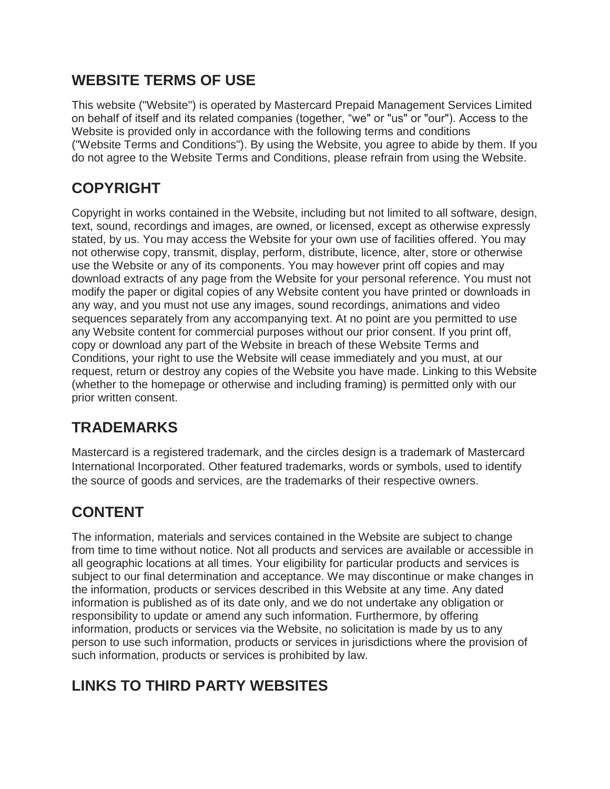### **WEBSITE TERMS OF USE**

This website ("Website") is operated by Mastercard Prepaid Management Services Limited on behalf of itself and its related companies (together, "we" or "us" or "our"). Access to the Website is provided only in accordance with the following terms and conditions ("Website Terms and Conditions"). By using the Website, you agree to abide by them. If you do not agree to the Website Terms and Conditions, please refrain from using the Website.

# **COPYRIGHT**

Copyright in works contained in the Website, including but not limited to all software, design, text, sound, recordings and images, are owned, or licensed, except as otherwise expressly stated, by us. You may access the Website for your own use of facilities offered. You may not otherwise copy, transmit, display, perform, distribute, licence, alter, store or otherwise use the Website or any of its components. You may however print off copies and may download extracts of any page from the Website for your personal reference. You must not modify the paper or digital copies of any Website content you have printed or downloads in any way, and you must not use any images, sound recordings, animations and video sequences separately from any accompanying text. At no point are you permitted to use any Website content for commercial purposes without our prior consent. If you print off, copy or download any part of the Website in breach of these Website Terms and Conditions, your right to use the Website will cease immediately and you must, at our request, return or destroy any copies of the Website you have made. Linking to this Website (whether to the homepage or otherwise and including framing) is permitted only with our prior written consent.

### **TRADEMARKS**

Mastercard is a registered trademark, and the circles design is a trademark of Mastercard International Incorporated. Other featured trademarks, words or symbols, used to identify the source of goods and services, are the trademarks of their respective owners.

# **CONTENT**

The information, materials and services contained in the Website are subject to change from time to time without notice. Not all products and services are available or accessible in all geographic locations at all times. Your eligibility for particular products and services is subject to our final determination and acceptance. We may discontinue or make changes in the information, products or services described in this Website at any time. Any dated information is published as of its date only, and we do not undertake any obligation or responsibility to update or amend any such information. Furthermore, by offering information, products or services via the Website, no solicitation is made by us to any person to use such information, products or services in jurisdictions where the provision of such information, products or services is prohibited by law.

# **LINKS TO THIRD PARTY WEBSITES**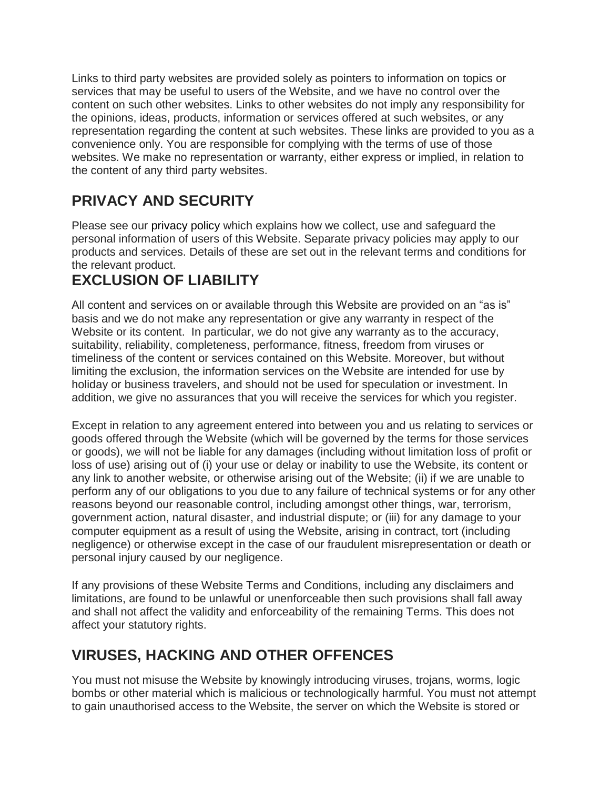Links to third party websites are provided solely as pointers to information on topics or services that may be useful to users of the Website, and we have no control over the content on such other websites. Links to other websites do not imply any responsibility for the opinions, ideas, products, information or services offered at such websites, or any representation regarding the content at such websites. These links are provided to you as a convenience only. You are responsible for complying with the terms of use of those websites. We make no representation or warranty, either express or implied, in relation to the content of any third party websites.

## **PRIVACY AND SECURITY**

Please see our privacy policy which explains how we collect, use and safeguard the personal information of users of this Website. Separate privacy policies may apply to our products and services. Details of these are set out in the relevant terms and conditions for the relevant product.

# **EXCLUSION OF LIABILITY**

All content and services on or available through this Website are provided on an "as is" basis and we do not make any representation or give any warranty in respect of the Website or its content. In particular, we do not give any warranty as to the accuracy, suitability, reliability, completeness, performance, fitness, freedom from viruses or timeliness of the content or services contained on this Website. Moreover, but without limiting the exclusion, the information services on the Website are intended for use by holiday or business travelers, and should not be used for speculation or investment. In addition, we give no assurances that you will receive the services for which you register.

Except in relation to any agreement entered into between you and us relating to services or goods offered through the Website (which will be governed by the terms for those services or goods), we will not be liable for any damages (including without limitation loss of profit or loss of use) arising out of (i) your use or delay or inability to use the Website, its content or any link to another website, or otherwise arising out of the Website; (ii) if we are unable to perform any of our obligations to you due to any failure of technical systems or for any other reasons beyond our reasonable control, including amongst other things, war, terrorism, government action, natural disaster, and industrial dispute; or (iii) for any damage to your computer equipment as a result of using the Website, arising in contract, tort (including negligence) or otherwise except in the case of our fraudulent misrepresentation or death or personal injury caused by our negligence.

If any provisions of these Website Terms and Conditions, including any disclaimers and limitations, are found to be unlawful or unenforceable then such provisions shall fall away and shall not affect the validity and enforceability of the remaining Terms. This does not affect your statutory rights.

### **VIRUSES, HACKING AND OTHER OFFENCES**

You must not misuse the Website by knowingly introducing viruses, trojans, worms, logic bombs or other material which is malicious or technologically harmful. You must not attempt to gain unauthorised access to the Website, the server on which the Website is stored or